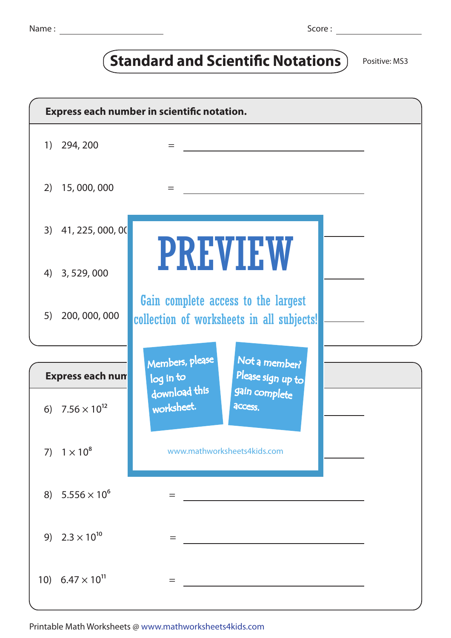## **Standard and Scientific Notations** Positive: MS3

| Express each number in scientific notation.     |                           |                                                                                  |  |
|-------------------------------------------------|---------------------------|----------------------------------------------------------------------------------|--|
| $\left( \begin{array}{c} 1 \end{array} \right)$ | 294, 200                  | =                                                                                |  |
| 2)                                              | 15,000,000                | $=$                                                                              |  |
|                                                 | 3) 41, 225, 000, 00       |                                                                                  |  |
|                                                 | 4) 3, 529, 000            | <b>PREVIEW</b>                                                                   |  |
| 5)                                              | 200, 000, 000             | Gain complete access to the largest<br>collection of worksheets in all subjects! |  |
|                                                 |                           |                                                                                  |  |
|                                                 | <b>Express each num</b>   | Members, please<br>Not a member?<br>Please sign up to<br>log in to               |  |
|                                                 | 6) $7.56 \times 10^{12}$  | download this<br>gain complete<br>worksheet.<br>access.                          |  |
|                                                 | 7) $1 \times 10^8$        | www.mathworksheets4kids.com                                                      |  |
|                                                 | 8) $5.556 \times 10^6$    | =                                                                                |  |
|                                                 | 9) $2.3 \times 10^{10}$   | $=$                                                                              |  |
|                                                 | 10) $6.47 \times 10^{11}$ | $=$                                                                              |  |